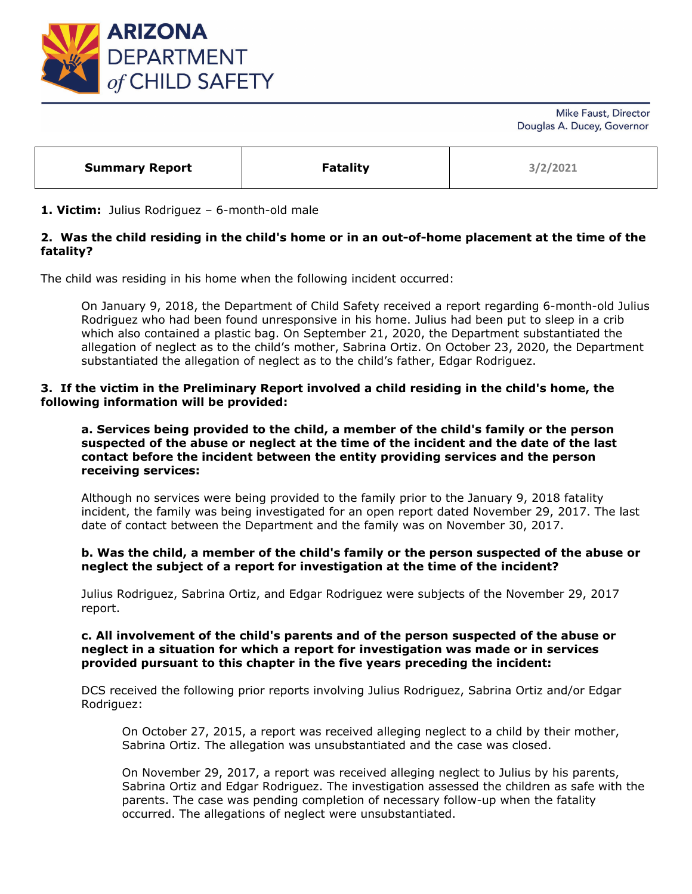

Mike Faust, Director Douglas A. Ducey, Governor

| <b>Summary Report</b> | <b>Fatality</b> | 3/2/2021 |
|-----------------------|-----------------|----------|
|-----------------------|-----------------|----------|

### **1. Victim:** Julius Rodriguez – 6-month-old male

# **2. Was the child residing in the child's home or in an out-of-home placement at the time of the fatality?**

The child was residing in his home when the following incident occurred:

On January 9, 2018, the Department of Child Safety received a report regarding 6-month-old Julius Rodriguez who had been found unresponsive in his home. Julius had been put to sleep in a crib which also contained a plastic bag. On September 21, 2020, the Department substantiated the allegation of neglect as to the child's mother, Sabrina Ortiz. On October 23, 2020, the Department substantiated the allegation of neglect as to the child's father, Edgar Rodriguez.

### **3. If the victim in the Preliminary Report involved a child residing in the child's home, the following information will be provided:**

#### **a. Services being provided to the child, a member of the child's family or the person suspected of the abuse or neglect at the time of the incident and the date of the last contact before the incident between the entity providing services and the person receiving services:**

Although no services were being provided to the family prior to the January 9, 2018 fatality incident, the family was being investigated for an open report dated November 29, 2017. The last date of contact between the Department and the family was on November 30, 2017.

#### **b. Was the child, a member of the child's family or the person suspected of the abuse or neglect the subject of a report for investigation at the time of the incident?**

Julius Rodriguez, Sabrina Ortiz, and Edgar Rodriguez were subjects of the November 29, 2017 report.

#### **c. All involvement of the child's parents and of the person suspected of the abuse or neglect in a situation for which a report for investigation was made or in services provided pursuant to this chapter in the five years preceding the incident:**

DCS received the following prior reports involving Julius Rodriguez, Sabrina Ortiz and/or Edgar Rodriguez:

On October 27, 2015, a report was received alleging neglect to a child by their mother, Sabrina Ortiz. The allegation was unsubstantiated and the case was closed.

On November 29, 2017, a report was received alleging neglect to Julius by his parents, Sabrina Ortiz and Edgar Rodriguez. The investigation assessed the children as safe with the parents. The case was pending completion of necessary follow-up when the fatality occurred. The allegations of neglect were unsubstantiated.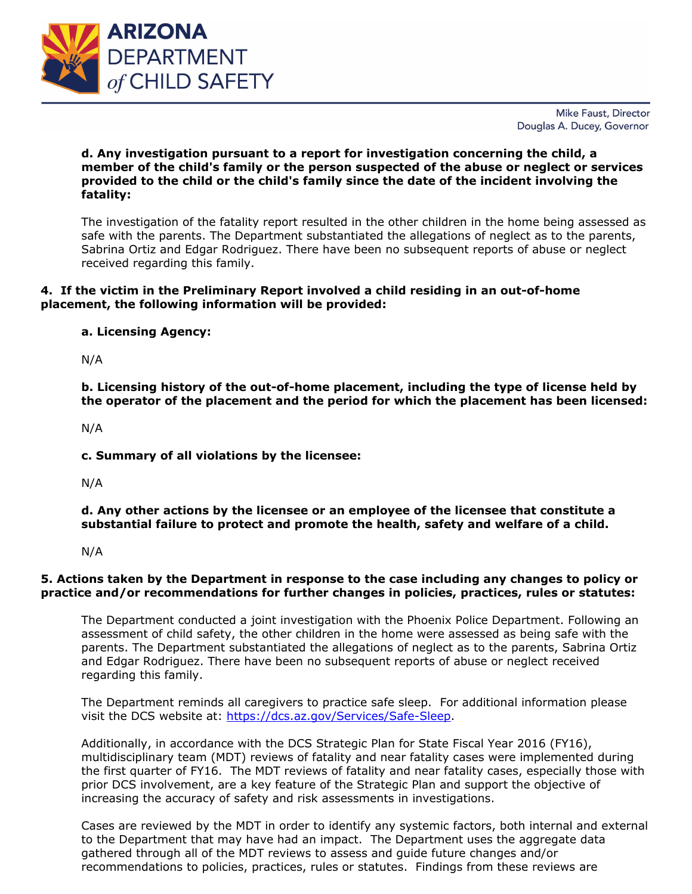

Mike Faust, Director Douglas A. Ducey, Governor

## **d. Any investigation pursuant to a report for investigation concerning the child, a member of the child's family or the person suspected of the abuse or neglect or services provided to the child or the child's family since the date of the incident involving the fatality:**

The investigation of the fatality report resulted in the other children in the home being assessed as safe with the parents. The Department substantiated the allegations of neglect as to the parents, Sabrina Ortiz and Edgar Rodriguez. There have been no subsequent reports of abuse or neglect received regarding this family.

# **4. If the victim in the Preliminary Report involved a child residing in an out-of-home placement, the following information will be provided:**

# **a. Licensing Agency:**

N/A

**b. Licensing history of the out-of-home placement, including the type of license held by the operator of the placement and the period for which the placement has been licensed:** 

N/A

**c. Summary of all violations by the licensee:** 

N/A

**d. Any other actions by the licensee or an employee of the licensee that constitute a substantial failure to protect and promote the health, safety and welfare of a child.**

N/A

## **5. Actions taken by the Department in response to the case including any changes to policy or practice and/or recommendations for further changes in policies, practices, rules or statutes:**

The Department conducted a joint investigation with the Phoenix Police Department. Following an assessment of child safety, the other children in the home were assessed as being safe with the parents. The Department substantiated the allegations of neglect as to the parents, Sabrina Ortiz and Edgar Rodriguez. There have been no subsequent reports of abuse or neglect received regarding this family.

The Department reminds all caregivers to practice safe sleep. For additional information please visit the DCS website at: [https://dcs.az.gov/Services/Safe-Sleep.](https://dcs.az.gov/Services/Safe-Sleep)

Additionally, in accordance with the DCS Strategic Plan for State Fiscal Year 2016 (FY16), multidisciplinary team (MDT) reviews of fatality and near fatality cases were implemented during the first quarter of FY16. The MDT reviews of fatality and near fatality cases, especially those with prior DCS involvement, are a key feature of the Strategic Plan and support the objective of increasing the accuracy of safety and risk assessments in investigations.

Cases are reviewed by the MDT in order to identify any systemic factors, both internal and external to the Department that may have had an impact. The Department uses the aggregate data gathered through all of the MDT reviews to assess and guide future changes and/or recommendations to policies, practices, rules or statutes. Findings from these reviews are